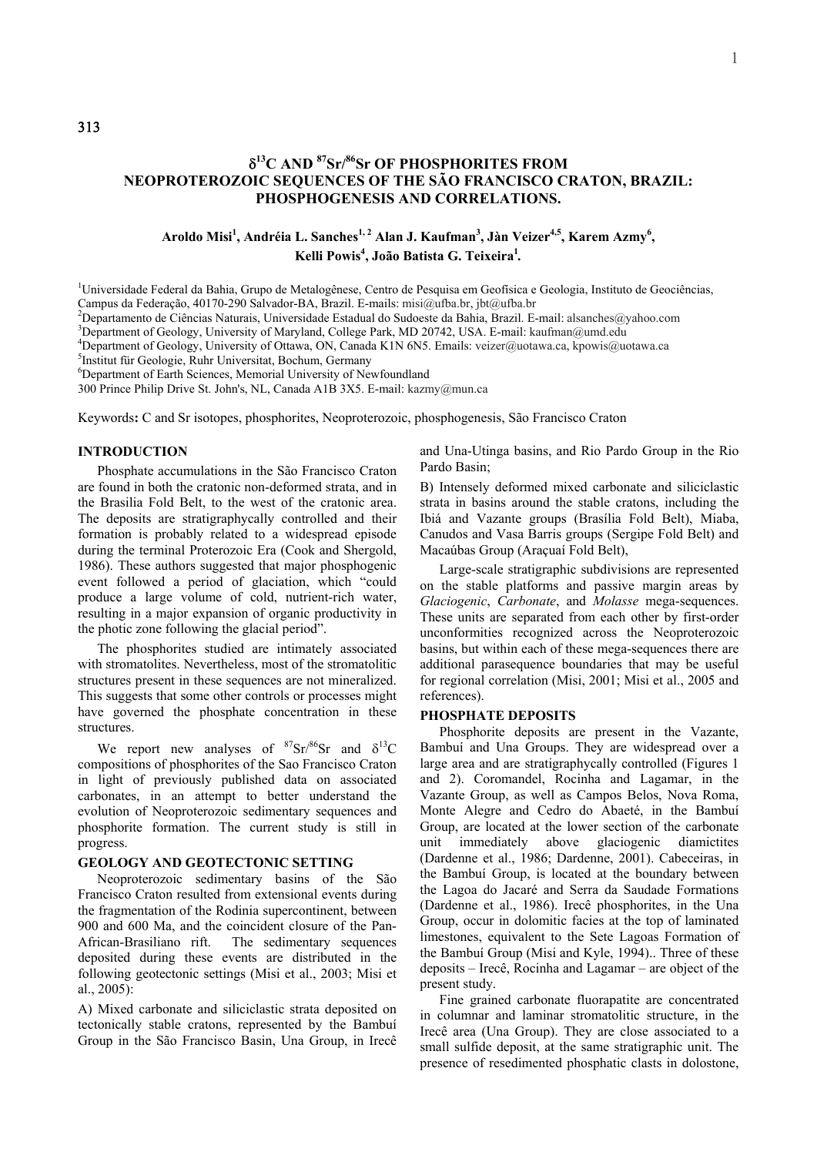# δ**13C AND 87Sr/86Sr OF PHOSPHORITES FROM NEOPROTEROZOIC SEQUENCES OF THE SÃO FRANCISCO CRATON, BRAZIL: PHOSPHOGENESIS AND CORRELATIONS.**

# Aroldo Misi<sup>1</sup>, Andréia L. Sanches<sup>1, 2</sup> Alan J. Kaufman<sup>3</sup>, Jàn Veizer<sup>4,5</sup>, Karem Azmy<sup>6</sup>, Kelli Powis<sup>4</sup>, João Batista G. Teixeira<sup>1</sup>.

<sup>1</sup>Universidade Federal da Bahia, Grupo de Metalogênese, Centro de Pesquisa em Geofísica e Geologia, Instituto de Geociências, Campus da Federação, 40170-290 Salvador-BA, Brazil. E-mails: misi@ufba.br, jbt@ufba.br

<sup>2</sup>Departamento de Ciências Naturais, Universidade Estadual do Sudoeste da Bahia, Brazil. E-mail: alsanches@yahoo.com

<sup>3</sup>Department of Geology, University of Maryland, College Park, MD 20742, USA. E-mail: kaufman@umd.edu

<sup>4</sup>Department of Geology, University of Ottawa, ON, Canada K1N 6N5. Emails: veizer@uotawa.ca, kpowis@uotawa.ca

<sup>5</sup>Institut für Geologie, Ruhr Universitat, Bochum, Germany

6 Department of Earth Sciences, Memorial University of Newfoundland

300 Prince Philip Drive St. John's, NL, Canada A1B 3X5. E-mail: kazmy@mun.ca

Keywords**:** C and Sr isotopes, phosphorites, Neoproterozoic, phosphogenesis, São Francisco Craton

#### **INTRODUCTION**

Phosphate accumulations in the São Francisco Craton are found in both the cratonic non-deformed strata, and in the Brasilia Fold Belt, to the west of the cratonic area. The deposits are stratigraphycally controlled and their formation is probably related to a widespread episode during the terminal Proterozoic Era (Cook and Shergold, 1986). These authors suggested that major phosphogenic event followed a period of glaciation, which "could produce a large volume of cold, nutrient-rich water, resulting in a major expansion of organic productivity in the photic zone following the glacial period".

The phosphorites studied are intimately associated with stromatolites. Nevertheless, most of the stromatolitic structures present in these sequences are not mineralized. This suggests that some other controls or processes might have governed the phosphate concentration in these structures.

We report new analyses of  $87\text{Sr}/86\text{Sr}$  and  $\delta^{13}\text{C}$ compositions of phosphorites of the Sao Francisco Craton in light of previously published data on associated carbonates, in an attempt to better understand the evolution of Neoproterozoic sedimentary sequences and phosphorite formation. The current study is still in progress.

### **GEOLOGY AND GEOTECTONIC SETTING**

Neoproterozoic sedimentary basins of the São Francisco Craton resulted from extensional events during the fragmentation of the Rodinia supercontinent, between 900 and 600 Ma, and the coincident closure of the Pan-African-Brasiliano rift. The sedimentary sequences deposited during these events are distributed in the following geotectonic settings (Misi et al., 2003; Misi et al., 2005):

A) Mixed carbonate and siliciclastic strata deposited on tectonically stable cratons, represented by the Bambuí Group in the São Francisco Basin, Una Group, in Irecê and Una-Utinga basins, and Rio Pardo Group in the Rio Pardo Basin;

B) Intensely deformed mixed carbonate and siliciclastic strata in basins around the stable cratons, including the Ibiá and Vazante groups (Brasília Fold Belt), Miaba, Canudos and Vasa Barris groups (Sergipe Fold Belt) and Macaúbas Group (Araçuaí Fold Belt),

Large-scale stratigraphic subdivisions are represented on the stable platforms and passive margin areas by *Glaciogenic*, *Carbonate*, and *Molasse* mega-sequences. These units are separated from each other by first-order unconformities recognized across the Neoproterozoic basins, but within each of these mega-sequences there are additional parasequence boundaries that may be useful for regional correlation (Misi, 2001; Misi et al., 2005 and references).

#### **PHOSPHATE DEPOSITS**

Phosphorite deposits are present in the Vazante, Bambuí and Una Groups. They are widespread over a large area and are stratigraphycally controlled (Figures 1 and 2). Coromandel, Rocinha and Lagamar, in the Vazante Group, as well as Campos Belos, Nova Roma, Monte Alegre and Cedro do Abaeté, in the Bambuí Group, are located at the lower section of the carbonate unit immediately above glaciogenic diamictites (Dardenne et al., 1986; Dardenne, 2001). Cabeceiras, in the Bambuí Group, is located at the boundary between the Lagoa do Jacaré and Serra da Saudade Formations (Dardenne et al., 1986). Irecê phosphorites, in the Una Group, occur in dolomitic facies at the top of laminated limestones, equivalent to the Sete Lagoas Formation of the Bambuí Group (Misi and Kyle, 1994).. Three of these deposits – Irecê, Rocinha and Lagamar – are object of the present study.

Fine grained carbonate fluorapatite are concentrated in columnar and laminar stromatolitic structure, in the Irecê area (Una Group). They are close associated to a small sulfide deposit, at the same stratigraphic unit. The presence of resedimented phosphatic clasts in dolostone,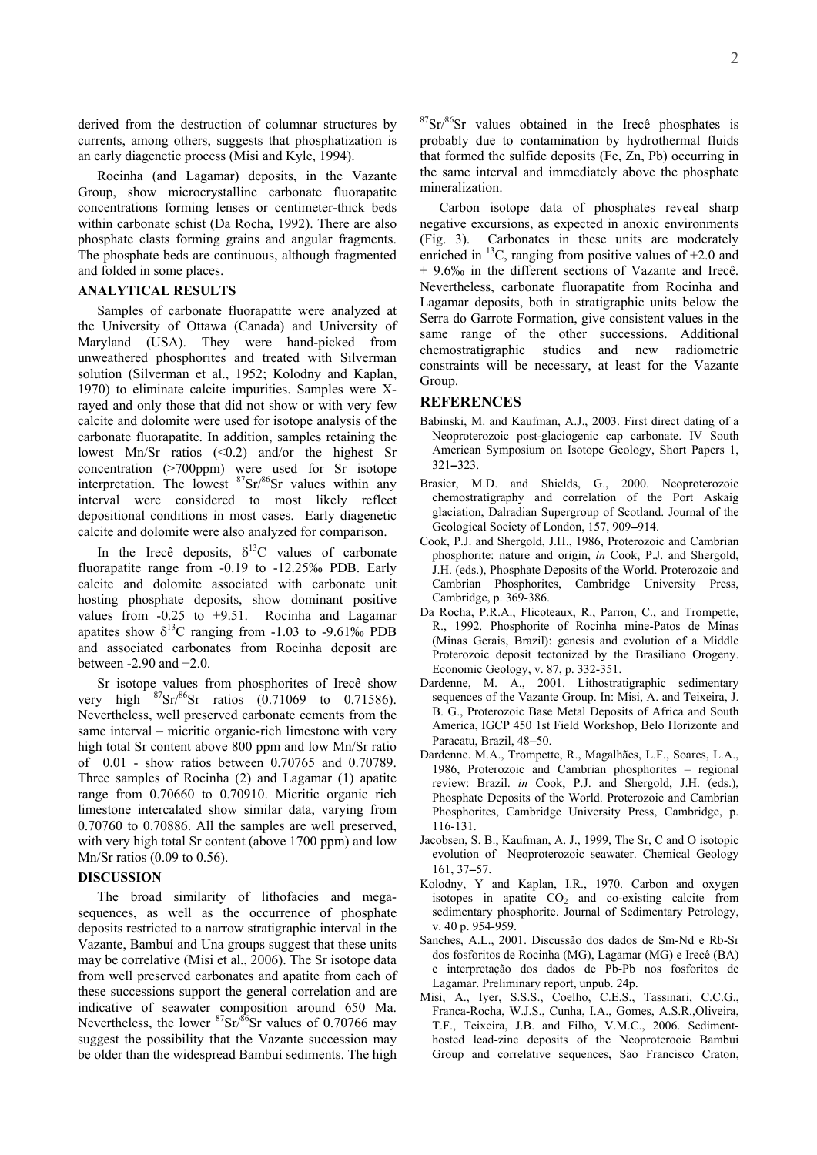derived from the destruction of columnar structures by currents, among others, suggests that phosphatization is an early diagenetic process (Misi and Kyle, 1994).

Rocinha (and Lagamar) deposits, in the Vazante Group, show microcrystalline carbonate fluorapatite concentrations forming lenses or centimeter-thick beds within carbonate schist (Da Rocha, 1992). There are also phosphate clasts forming grains and angular fragments. The phosphate beds are continuous, although fragmented and folded in some places.

### **ANALYTICAL RESULTS**

Samples of carbonate fluorapatite were analyzed at the University of Ottawa (Canada) and University of Maryland (USA). They were hand-picked from unweathered phosphorites and treated with Silverman solution (Silverman et al., 1952; Kolodny and Kaplan, 1970) to eliminate calcite impurities. Samples were Xrayed and only those that did not show or with very few calcite and dolomite were used for isotope analysis of the carbonate fluorapatite. In addition, samples retaining the lowest Mn/Sr ratios (<0.2) and/or the highest Sr concentration (>700ppm) were used for Sr isotope interpretation. The lowest  ${}^{87}Sr/{}^{86}Sr$  values within any interval were considered to most likely reflect depositional conditions in most cases. Early diagenetic calcite and dolomite were also analyzed for comparison.

In the Irecê deposits,  $\delta^{13}$ C values of carbonate fluorapatite range from -0.19 to -12.25‰ PDB. Early calcite and dolomite associated with carbonate unit hosting phosphate deposits, show dominant positive values from -0.25 to +9.51. Rocinha and Lagamar apatites show  $\delta^{13}$ C ranging from -1.03 to -9.61‰ PDB and associated carbonates from Rocinha deposit are between -2.90 and +2.0.

Sr isotope values from phosphorites of Irecê show very high  ${}^{87}Sr/{}^{86}Sr$  ratios (0.71069 to 0.71586). Nevertheless, well preserved carbonate cements from the same interval – micritic organic-rich limestone with very high total Sr content above 800 ppm and low Mn/Sr ratio of 0.01 - show ratios between 0.70765 and 0.70789. Three samples of Rocinha (2) and Lagamar (1) apatite range from 0.70660 to 0.70910. Micritic organic rich limestone intercalated show similar data, varying from 0.70760 to 0.70886. All the samples are well preserved, with very high total Sr content (above 1700 ppm) and low Mn/Sr ratios (0.09 to 0.56).

# **DISCUSSION**

The broad similarity of lithofacies and megasequences, as well as the occurrence of phosphate deposits restricted to a narrow stratigraphic interval in the Vazante, Bambuí and Una groups suggest that these units may be correlative (Misi et al., 2006). The Sr isotope data from well preserved carbonates and apatite from each of these successions support the general correlation and are indicative of seawater composition around 650 Ma. Nevertheless, the lower  ${}^{87}Sr/{}^{86}Sr$  values of 0.70766 may suggest the possibility that the Vazante succession may be older than the widespread Bambuí sediments. The high

 $87Sr/86Sr$  values obtained in the Irecê phosphates is probably due to contamination by hydrothermal fluids that formed the sulfide deposits (Fe, Zn, Pb) occurring in the same interval and immediately above the phosphate mineralization.

Carbon isotope data of phosphates reveal sharp negative excursions, as expected in anoxic environments (Fig. 3). Carbonates in these units are moderately enriched in  $^{13}$ C, ranging from positive values of  $+2.0$  and + 9.6‰ in the different sections of Vazante and Irecê. Nevertheless, carbonate fluorapatite from Rocinha and Lagamar deposits, both in stratigraphic units below the Serra do Garrote Formation, give consistent values in the same range of the other successions. Additional chemostratigraphic studies and new radiometric constraints will be necessary, at least for the Vazante Group.

#### **REFERENCES**

- Babinski, M. and Kaufman, A.J., 2003. First direct dating of a Neoproterozoic post-glaciogenic cap carbonate. IV South American Symposium on Isotope Geology, Short Papers 1, 321−323.
- Brasier, M.D. and Shields, G., 2000. Neoproterozoic chemostratigraphy and correlation of the Port Askaig glaciation, Dalradian Supergroup of Scotland. Journal of the Geological Society of London, 157, 909−914.
- Cook, P.J. and Shergold, J.H., 1986, Proterozoic and Cambrian phosphorite: nature and origin, *in* Cook, P.J. and Shergold, J.H. (eds.), Phosphate Deposits of the World. Proterozoic and Cambrian Phosphorites, Cambridge University Press, Cambridge, p. 369-386.
- Da Rocha, P.R.A., Flicoteaux, R., Parron, C., and Trompette, R., 1992. Phosphorite of Rocinha mine-Patos de Minas (Minas Gerais, Brazil): genesis and evolution of a Middle Proterozoic deposit tectonized by the Brasiliano Orogeny. Economic Geology, v. 87, p. 332-351.
- Dardenne, M. A., 2001. Lithostratigraphic sedimentary sequences of the Vazante Group. In: Misi, A. and Teixeira, J. B. G., Proterozoic Base Metal Deposits of Africa and South America, IGCP 450 1st Field Workshop, Belo Horizonte and Paracatu, Brazil, 48−50.
- Dardenne. M.A., Trompette, R., Magalhães, L.F., Soares, L.A., 1986, Proterozoic and Cambrian phosphorites – regional review: Brazil. *in* Cook, P.J. and Shergold, J.H. (eds.), Phosphate Deposits of the World. Proterozoic and Cambrian Phosphorites, Cambridge University Press, Cambridge, p. 116-131.
- Jacobsen, S. B., Kaufman, A. J., 1999, The Sr, C and O isotopic evolution of Neoproterozoic seawater. Chemical Geology 161, 37−57.
- Kolodny, Y and Kaplan, I.R., 1970. Carbon and oxygen isotopes in apatite  $CO<sub>2</sub>$  and co-existing calcite from sedimentary phosphorite. Journal of Sedimentary Petrology, v. 40 p. 954-959.
- Sanches, A.L., 2001. Discussão dos dados de Sm-Nd e Rb-Sr dos fosforitos de Rocinha (MG), Lagamar (MG) e Irecê (BA) e interpretação dos dados de Pb-Pb nos fosforitos de Lagamar. Preliminary report, unpub. 24p.
- Misi, A., Iyer, S.S.S., Coelho, C.E.S., Tassinari, C.C.G., Franca-Rocha, W.J.S., Cunha, I.A., Gomes, A.S.R.,Oliveira, T.F., Teixeira, J.B. and Filho, V.M.C., 2006. Sedimenthosted lead-zinc deposits of the Neoproterooic Bambui Group and correlative sequences, Sao Francisco Craton,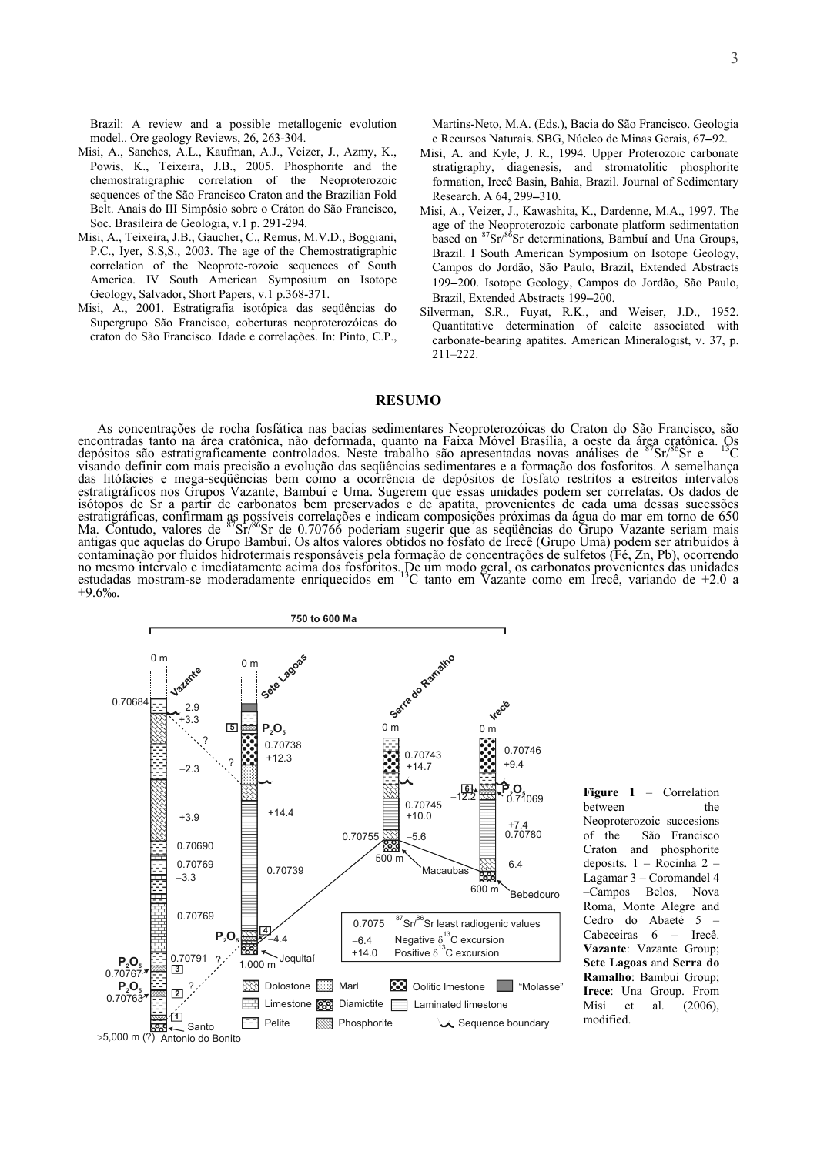Brazil: A review and a possible metallogenic evolution model.. Ore geology Reviews, 26, 263-304.

- Misi, A., Sanches, A.L., Kaufman, A.J., Veizer, J., Azmy, K., Powis, K., Teixeira, J.B., 2005. Phosphorite and the chemostratigraphic correlation of the Neoproterozoic sequences of the São Francisco Craton and the Brazilian Fold Belt. Anais do III Simpósio sobre o Cráton do São Francisco, Soc. Brasileira de Geologia, v.1 p. 291-294.
- Misi, A., Teixeira, J.B., Gaucher, C., Remus, M.V.D., Boggiani, P.C., Iyer, S.S,S., 2003. The age of the Chemostratigraphic correlation of the Neoprote-rozoic sequences of South America. IV South American Symposium on Isotope Geology, Salvador, Short Papers, v.1 p.368-371.
- Misi, A., 2001. Estratigrafia isotópica das seqüências do Supergrupo São Francisco, coberturas neoproterozóicas do craton do São Francisco. Idade e correlações. In: Pinto, C.P.,

Martins-Neto, M.A. (Eds.), Bacia do São Francisco. Geologia e Recursos Naturais. SBG, Núcleo de Minas Gerais, 67−92.

- Misi, A. and Kyle, J. R., 1994. Upper Proterozoic carbonate stratigraphy, diagenesis, and stromatolitic phosphorite formation, Irecê Basin, Bahia, Brazil. Journal of Sedimentary Research. A 64, 299−310.
- Misi, A., Veizer, J., Kawashita, K., Dardenne, M.A., 1997. The age of the Neoproterozoic carbonate platform sedimentation based on <sup>87</sup>Sr/<sup>86</sup>Sr determinations, Bambuí and Una Groups, Brazil. I South American Symposium on Isotope Geology, Campos do Jordão, São Paulo, Brazil, Extended Abstracts 199−200. Isotope Geology, Campos do Jordão, São Paulo, Brazil, Extended Abstracts 199−200.
- Silverman, S.R., Fuyat, R.K., and Weiser, J.D., 1952. Quantitative determination of calcite associated with carbonate-bearing apatites. American Mineralogist, v. 37, p. 211–222.

## **RESUMO**

As concentrações de rocha fosfática nas bacias sedimentares Neoproterozóicas do Craton do São Francisco, são encontradas tanto na área cratônica, não deformada, quanto na Faixa Móvel Brasília, a oeste da área cratônica. Os<br>depósitos são estratigraficamente controlados. Neste trabalho são apresentadas novas análises de <sup>87</sup>Sr/<sup>86</sup> visando definir com mais precisão a evolução das seqüências sedimentares e a formação dos fosforitos. A semelhança das litófacies e mega-seqüências bem como a ocorrência de depósitos de fosfato restritos a estreitos intervalos estratigráficos nos Grupos Vazante, Bambuí e Uma. Sugerem que essas unidades podem ser correlatas. Os dados de isótopos de Sr a partir de carbonatos bem preservados e de apatita, provenientes de cada uma dessas sucessões estratigráficas, confirmam as possíveis correlações e indicam composições próximas da água do mar em torno de 650<br>Ma. Contudo, valores de <sup>87</sup>Sr/<sup>86</sup>Sr de 0.70766 poderiam sugerir que as seqüências do Grupo Vazante seriam antigas que aquelas do Grupo Bambuí. Os altos valores obtidos no fosfato de Irecê (Grupo Uma) podem ser atribuídos à contaminação por fluidos hidrotermais responsáveis pela formação de concentrações de sulfetos (Fé, Zn, Pb), ocorrendo no mesmo intervalo e imediatamente acima dos fosforitos. De um modo geral, os carbonatos provenientes das unidades estudadas mostram-se moderadamente enriquecidos em 13C tanto em Vazante como em Irecê, variando de +2.0 a +9.6‰.



**<sup>6</sup> Figure 1** – Correlation between the Neoproterozoic succesions of the São Francisco Craton and phosphorite deposits. 1 – Rocinha 2 – Lagamar 3 – Coromandel 4 –Campos Belos, Nova Roma, Monte Alegre and Cedro do Abaeté 5 – Cabeceiras 6 – Irecê. **Vazante**: Vazante Group; **Sete Lagoas** and **Serra do Ramalho**: Bambui Group; **Irece**: Una Group. From Misi et al. (2006), modified.